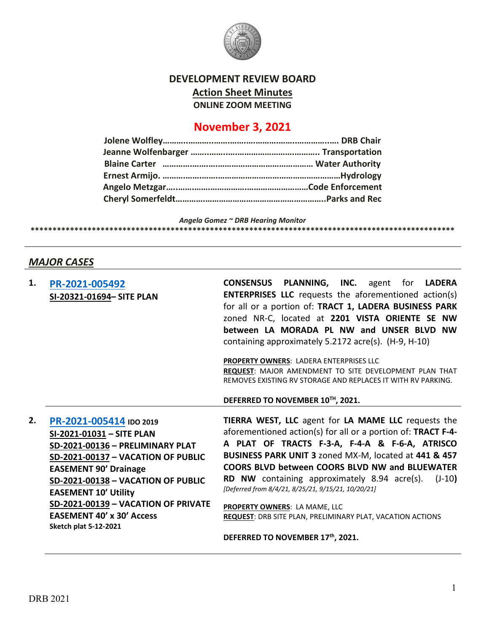

## **DEVELOPMENT REVIEW BOARD Action Sheet Minutes ONLINE ZOOM MEETING**

# **November 3, 2021**

*Angela Gomez ~ DRB Hearing Monitor*

**\*\*\*\*\*\*\*\*\*\*\*\*\*\*\*\*\*\*\*\*\*\*\*\*\*\*\*\*\*\*\*\*\*\*\*\*\*\*\*\*\*\*\*\*\*\*\*\*\*\*\*\*\*\*\*\*\*\*\*\*\*\*\*\*\*\*\*\*\*\*\*\*\*\*\*\*\*\*\*\*\*\*\*\*\*\*\*\*\*\*\*\*\*\*\*\*\***

# *MAJOR CASES*

| 1. | PR-2021-005492<br>SI-20321-01694- SITE PLAN                                                                                                                                                                                                                                                                                                           | <b>CONSENSUS PLANNING, INC.</b> agent for LADERA<br><b>ENTERPRISES LLC</b> requests the aforementioned action(s)<br>for all or a portion of: TRACT 1, LADERA BUSINESS PARK<br>zoned NR-C, located at 2201 VISTA ORIENTE SE NW                                                                                                                                                                                                                                                                                                                |
|----|-------------------------------------------------------------------------------------------------------------------------------------------------------------------------------------------------------------------------------------------------------------------------------------------------------------------------------------------------------|----------------------------------------------------------------------------------------------------------------------------------------------------------------------------------------------------------------------------------------------------------------------------------------------------------------------------------------------------------------------------------------------------------------------------------------------------------------------------------------------------------------------------------------------|
|    |                                                                                                                                                                                                                                                                                                                                                       | between LA MORADA PL NW and UNSER BLVD NW                                                                                                                                                                                                                                                                                                                                                                                                                                                                                                    |
|    |                                                                                                                                                                                                                                                                                                                                                       | containing approximately 5.2172 acre(s). (H-9, H-10)                                                                                                                                                                                                                                                                                                                                                                                                                                                                                         |
|    |                                                                                                                                                                                                                                                                                                                                                       | PROPERTY OWNERS: LADERA ENTERPRISES LLC<br>REQUEST: MAJOR AMENDMENT TO SITE DEVELOPMENT PLAN THAT<br>REMOVES EXISTING RV STORAGE AND REPLACES IT WITH RV PARKING.                                                                                                                                                                                                                                                                                                                                                                            |
|    |                                                                                                                                                                                                                                                                                                                                                       | DEFERRED TO NOVEMBER 10TH, 2021.                                                                                                                                                                                                                                                                                                                                                                                                                                                                                                             |
| 2. | PR-2021-005414 IDO 2019<br>SI-2021-01031 - SITE PLAN<br>SD-2021-00136 - PRELIMINARY PLAT<br><b>SD-2021-00137 - VACATION OF PUBLIC</b><br><b>EASEMENT 90' Drainage</b><br>SD-2021-00138 - VACATION OF PUBLIC<br><b>EASEMENT 10' Utility</b><br>SD-2021-00139 - VACATION OF PRIVATE<br><b>EASEMENT 40' x 30' Access</b><br><b>Sketch plat 5-12-2021</b> | TIERRA WEST, LLC agent for LA MAME LLC requests the<br>aforementioned action(s) for all or a portion of: TRACT F-4-<br>A PLAT OF TRACTS F-3-A, F-4-A & F-6-A, ATRISCO<br>BUSINESS PARK UNIT 3 zoned MX-M, located at 441 & 457<br><b>COORS BLVD between COORS BLVD NW and BLUEWATER</b><br>RD NW containing approximately 8.94 acre(s).<br>$(J-10)$<br>[Deferred from 8/4/21, 8/25/21, 9/15/21, 10/20/21]<br>PROPERTY OWNERS: LA MAME, LLC<br>REQUEST: DRB SITE PLAN, PRELIMINARY PLAT, VACATION ACTIONS<br>DEFERRED TO NOVEMBER 17th, 2021. |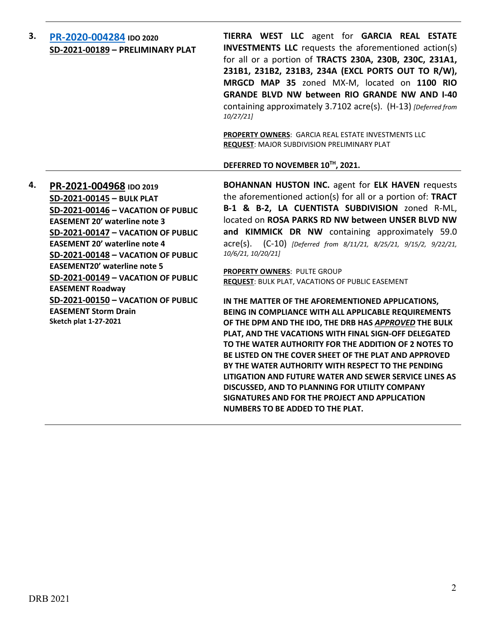| 3. | PR-2020-004284 IDO 2020<br>SD-2021-00189 - PRELIMINARY PLAT | TIERRA WEST LLC agent for GARCIA REAL ESTATE<br><b>INVESTMENTS LLC</b> requests the aforementioned action(s)<br>for all or a portion of TRACTS 230A, 230B, 230C, 231A1,<br>231B1, 231B2, 231B3, 234A (EXCL PORTS OUT TO R/W),<br>MRGCD MAP 35 zoned MX-M, located on 1100 RIO<br><b>GRANDE BLVD NW between RIO GRANDE NW AND I-40</b><br>containing approximately 3.7102 acre(s). (H-13) (Deferred from<br>10/27/21] |
|----|-------------------------------------------------------------|----------------------------------------------------------------------------------------------------------------------------------------------------------------------------------------------------------------------------------------------------------------------------------------------------------------------------------------------------------------------------------------------------------------------|
|    |                                                             | <b>PROPERTY OWNERS: GARCIA REAL ESTATE INVESTMENTS LLC</b><br><b>REQUEST: MAJOR SUBDIVISION PRELIMINARY PLAT</b><br>DEFERRED TO NOVEMBER 10TH, 2021.                                                                                                                                                                                                                                                                 |

**4. [PR-2021-004968](http://data.cabq.gov/government/planning/DRB/PR-2021-004968/DRB%20Submittals/PR-2021-004968_AUG_11_2021%20(Bulk%20P.,%20VPE%20x5)/Application/Bulk_Plat_Submittal_Package%20(1).pdf) IDO 2019 SD-2021-00145 – BULK PLAT SD-2021-00146 – VACATION OF PUBLIC EASEMENT 20' waterline note 3 SD-2021-00147 – VACATION OF PUBLIC EASEMENT 20' waterline note 4 SD-2021-00148 – VACATION OF PUBLIC EASEMENT20' waterline note 5 SD-2021-00149 – VACATION OF PUBLIC EASEMENT Roadway SD-2021-00150 – VACATION OF PUBLIC EASEMENT Storm Drain Sketch plat 1-27-2021**

**BOHANNAN HUSTON INC.** agent for **ELK HAVEN** requests the aforementioned action(s) for all or a portion of: **TRACT B-1 & B-2, LA CUENTISTA SUBDIVISION** zoned R-ML, located on **ROSA PARKS RD NW between UNSER BLVD NW and KIMMICK DR NW** containing approximately 59.0 acre(s). (C-10) *[Deferred from 8/11/21, 8/25/21, 9/15/2, 9/22/21, 10/6/21, 10/20/21]*

**PROPERTY OWNERS**: PULTE GROUP **REQUEST**: BULK PLAT, VACATIONS OF PUBLIC EASEMENT

**IN THE MATTER OF THE AFOREMENTIONED APPLICATIONS, BEING IN COMPLIANCE WITH ALL APPLICABLE REQUIREMENTS OF THE DPM AND THE IDO, THE DRB HAS** *APPROVED* **THE BULK PLAT, AND THE VACATIONS WITH FINAL SIGN-OFF DELEGATED TO THE WATER AUTHORITY FOR THE ADDITION OF 2 NOTES TO BE LISTED ON THE COVER SHEET OF THE PLAT AND APPROVED BY THE WATER AUTHORITY WITH RESPECT TO THE PENDING LITIGATION AND FUTURE WATER AND SEWER SERVICE LINES AS DISCUSSED, AND TO PLANNING FOR UTILITY COMPANY SIGNATURES AND FOR THE PROJECT AND APPLICATION NUMBERS TO BE ADDED TO THE PLAT.**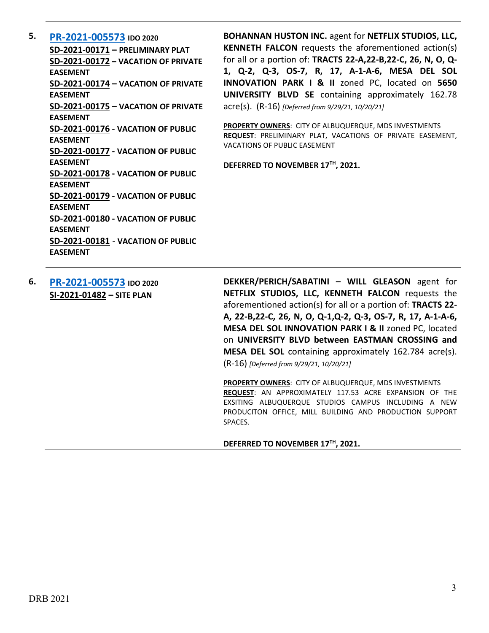**5. [PR-2021-005573](http://data.cabq.gov/government/planning/DRB/PR-2021-005573/DRB%20Submittals/) IDO 2020 SD-2021-00171 – PRELIMINARY PLAT SD-2021-00172 – VACATION OF PRIVATE EASEMENT SD-2021-00174 – VACATION OF PRIVATE EASEMENT SD-2021-00175 – VACATION OF PRIVATE EASEMENT SD-2021-00176 - VACATION OF PUBLIC EASEMENT SD-2021-00177 - VACATION OF PUBLIC EASEMENT SD-2021-00178 - VACATION OF PUBLIC EASEMENT SD-2021-00179 - VACATION OF PUBLIC EASEMENT SD-2021-00180 - VACATION OF PUBLIC EASEMENT SD-2021-00181** - **VACATION OF PUBLIC EASEMENT**

**BOHANNAN HUSTON INC.** agent for **NETFLIX STUDIOS, LLC, KENNETH FALCON** requests the aforementioned action(s) for all or a portion of: **TRACTS 22-A,22-B,22-C, 26, N, O, Q-1, Q-2, Q-3, OS-7, R, 17, A-1-A-6, MESA DEL SOL INNOVATION PARK I & II** zoned PC, located on **5650 UNIVERSITY BLVD SE** containing approximately 162.78 acre(s). (R-16) *[Deferred from 9/29/21, 10/20/21]*

**PROPERTY OWNERS**: CITY OF ALBUQUERQUE, MDS INVESTMENTS **REQUEST**: PRELIMINARY PLAT, VACATIONS OF PRIVATE EASEMENT, VACATIONS OF PUBLIC EASEMENT

**DEFERRED TO NOVEMBER 17TH, 2021.**

**6. [PR-2021-005573](http://data.cabq.gov/government/planning/DRB/PR-2021-005573/DRB%20Submittals/) IDO 2020 SI-2021-01482 – SITE PLAN**

**DEKKER/PERICH/SABATINI – WILL GLEASON** agent for **NETFLIX STUDIOS, LLC, KENNETH FALCON** requests the aforementioned action(s) for all or a portion of: **TRACTS 22- A, 22-B,22-C, 26, N, O, Q-1,Q-2, Q-3, OS-7, R, 17, A-1-A-6, MESA DEL SOL INNOVATION PARK I & II** zoned PC, located on **UNIVERSITY BLVD between EASTMAN CROSSING and MESA DEL SOL** containing approximately 162.784 acre(s). (R-16) *[Deferred from 9/29/21, 10/20/21]*

**PROPERTY OWNERS**: CITY OF ALBUQUERQUE, MDS INVESTMENTS **REQUEST**: AN APPROXIMATELY 117.53 ACRE EXPANSION OF THE EXSITING ALBUQUERQUE STUDIOS CAMPUS INCLUDING A NEW PRODUCITON OFFICE, MILL BUILDING AND PRODUCTION SUPPORT SPACES.

### **DEFERRED TO NOVEMBER 17TH, 2021.**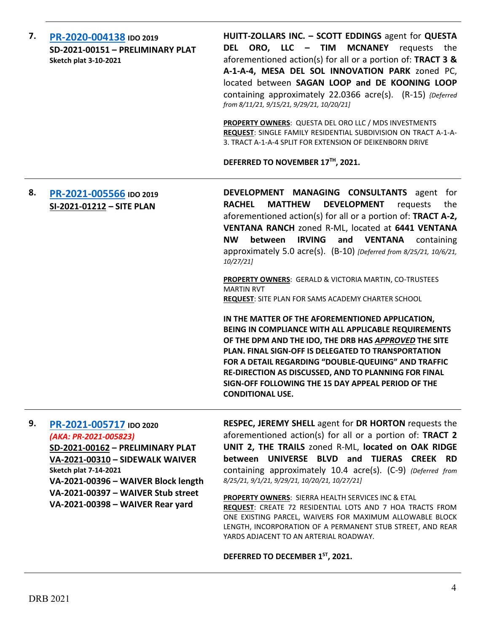| 7. | PR-2020-004138 IDO 2019<br>SD-2021-00151 - PRELIMINARY PLAT<br><b>Sketch plat 3-10-2021</b> | HUITT-ZOLLARS INC. - SCOTT EDDINGS agent for QUESTA<br>ORO, LLC - TIM<br><b>MCNANEY</b> requests<br><b>DEL</b><br>the<br>aforementioned action(s) for all or a portion of: TRACT 3 &<br>A-1-A-4, MESA DEL SOL INNOVATION PARK zoned PC,<br>located between SAGAN LOOP and DE KOONING LOOP<br>containing approximately 22.0366 acre(s). (R-15) {Deferred<br>from 8/11/21, 9/15/21, 9/29/21, 10/20/21]<br>PROPERTY OWNERS: QUESTA DEL ORO LLC / MDS INVESTMENTS<br>REQUEST: SINGLE FAMILY RESIDENTIAL SUBDIVISION ON TRACT A-1-A-<br>3. TRACT A-1-A-4 SPLIT FOR EXTENSION OF DEIKENBORN DRIVE<br>DEFERRED TO NOVEMBER 17TH, 2021.                                                                                                                                                                                                                                                                                                                                                           |
|----|---------------------------------------------------------------------------------------------|-------------------------------------------------------------------------------------------------------------------------------------------------------------------------------------------------------------------------------------------------------------------------------------------------------------------------------------------------------------------------------------------------------------------------------------------------------------------------------------------------------------------------------------------------------------------------------------------------------------------------------------------------------------------------------------------------------------------------------------------------------------------------------------------------------------------------------------------------------------------------------------------------------------------------------------------------------------------------------------------|
| 8. | PR-2021-005566 IDO 2019<br>SI-2021-01212 - SITE PLAN                                        | DEVELOPMENT MANAGING CONSULTANTS agent for<br><b>DEVELOPMENT</b><br><b>RACHEL</b><br><b>MATTHEW</b><br>requests<br>the<br>aforementioned action(s) for all or a portion of: TRACT A-2,<br>VENTANA RANCH zoned R-ML, located at 6441 VENTANA<br><b>NW</b><br><b>IRVING</b><br>between<br>and VENTANA<br>containing<br>approximately 5.0 acre(s). (B-10) [Deferred from 8/25/21, 10/6/21,<br>10/27/21<br><b>PROPERTY OWNERS:</b> GERALD & VICTORIA MARTIN, CO-TRUSTEES<br><b>MARTIN RVT</b><br><b>REQUEST:</b> SITE PLAN FOR SAMS ACADEMY CHARTER SCHOOL<br>IN THE MATTER OF THE AFOREMENTIONED APPLICATION,<br>BEING IN COMPLIANCE WITH ALL APPLICABLE REQUIREMENTS<br>OF THE DPM AND THE IDO, THE DRB HAS APPROVED THE SITE<br><b>PLAN. FINAL SIGN-OFF IS DELEGATED TO TRANSPORTATION</b><br>FOR A DETAIL REGARDING "DOUBLE-QUEUING" AND TRAFFIC<br>RE-DIRECTION AS DISCUSSED, AND TO PLANNING FOR FINAL<br>SIGN-OFF FOLLOWING THE 15 DAY APPEAL PERIOD OF THE<br><b>CONDITIONAL USE.</b> |
| 9. | PR-2021-005717 IDO 2020<br>(AKA: PR-2021-005823)                                            | RESPEC, JEREMY SHELL agent for DR HORTON requests the<br>aforementioned action(s) for all or a portion of: TRACT 2<br>UNIT 2 THE TRAIL FOROM DALL Located on OAK BIDCE                                                                                                                                                                                                                                                                                                                                                                                                                                                                                                                                                                                                                                                                                                                                                                                                                    |

**SD-2021-00162 – PRELIMINARY PLAT VA-2021-00310 – SIDEWALK WAIVER Sketch plat 7-14-2021 VA-2021-00396 – WAIVER Block length VA-2021-00397 – WAIVER Stub street VA-2021-00398 – WAIVER Rear yard**

**UNIT 2, THE TRAILS** zoned R-ML, **located on OAK RIDGE between UNIVERSE BLVD and TIJERAS CREEK RD** containing approximately 10.4 acre(s). (C-9) *(Deferred from 8/25/21, 9/1/21, 9/29/21, 10/20/21, 10/27/21]*

**PROPERTY OWNERS**: SIERRA HEALTH SERVICES INC & ETAL **REQUEST**: CREATE 72 RESIDENTIAL LOTS AND 7 HOA TRACTS FROM ONE EXISTING PARCEL, WAIVERS FOR MAXIMUM ALLOWABLE BLOCK LENGTH, INCORPORATION OF A PERMANENT STUB STREET, AND REAR YARDS ADJACENT TO AN ARTERIAL ROADWAY.

**DEFERRED TO DECEMBER 1ST, 2021.**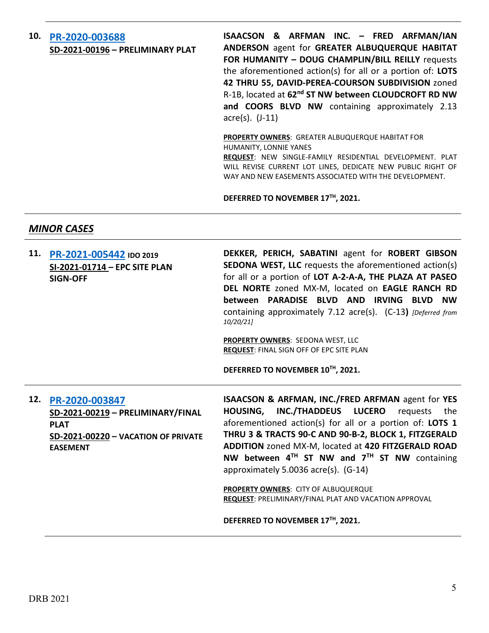## **10. [PR-2020-003688](http://data.cabq.gov/government/planning/DRB/PR-2020-003688/DRB%20Submittals/PR-2020-003688_Nov_03_2021%20(PP)/Application/) SD-2021-00196 – PRELIMINARY PLAT**

**ISAACSON & ARFMAN INC. – FRED ARFMAN/IAN ANDERSON** agent for **GREATER ALBUQUERQUE HABITAT FOR HUMANITY – DOUG CHAMPLIN/BILL REILLY** requests the aforementioned action(s) for all or a portion of: **LOTS 42 THRU 55, DAVID-PEREA-COURSON SUBDIVISION** zoned R-1B, located at **62nd ST NW between CLOUDCROFT RD NW and COORS BLVD NW** containing approximately 2.13 acre(s). (J-11)

**PROPERTY OWNERS**: GREATER ALBUQUERQUE HABITAT FOR HUMANITY, LONNIE YANES

**REQUEST**: NEW SINGLE-FAMILY RESIDENTIAL DEVELOPMENT. PLAT WILL REVISE CURRENT LOT LINES, DEDICATE NEW PUBLIC RIGHT OF WAY AND NEW EASEMENTS ASSOCIATED WITH THE DEVELOPMENT.

**DEFERRED TO NOVEMBER 17TH, 2021.**

## *MINOR CASES*

|     | 11. PR-2021-005442 IDO 2019<br>SI-2021-01714 - EPC SITE PLAN<br><b>SIGN-OFF</b>                           | DEKKER, PERICH, SABATINI agent for ROBERT GIBSON<br><b>SEDONA WEST, LLC</b> requests the aforementioned action(s)<br>for all or a portion of LOT A-2-A-A, THE PLAZA AT PASEO<br>DEL NORTE zoned MX-M, located on EAGLE RANCH RD<br>PARADISE BLVD AND<br>IRVING<br>between<br><b>BLVD</b><br><b>NW</b><br>containing approximately 7.12 acre(s). (C-13) [Deferred from<br>10/20/21] |
|-----|-----------------------------------------------------------------------------------------------------------|------------------------------------------------------------------------------------------------------------------------------------------------------------------------------------------------------------------------------------------------------------------------------------------------------------------------------------------------------------------------------------|
|     |                                                                                                           | <b>PROPERTY OWNERS: SEDONA WEST, LLC</b><br><b>REQUEST: FINAL SIGN OFF OF EPC SITE PLAN</b>                                                                                                                                                                                                                                                                                        |
|     |                                                                                                           | DEFERRED TO NOVEMBER 10TH, 2021.                                                                                                                                                                                                                                                                                                                                                   |
| 12. | PR-2020-003847<br>SD-2021-00219 - PRELIMINARY/FINAL<br><b>PLAT</b><br>SD-2021-00220 - VACATION OF PRIVATE | ISAACSON & ARFMAN, INC./FRED ARFMAN agent for YES<br>INC./THADDEUS LUCERO<br><b>HOUSING,</b><br>requests<br>the<br>aforementioned action(s) for all or a portion of: LOTS 1<br>THRU 3 & TRACTS 90-C AND 90-B-2, BLOCK 1, FITZGERALD                                                                                                                                                |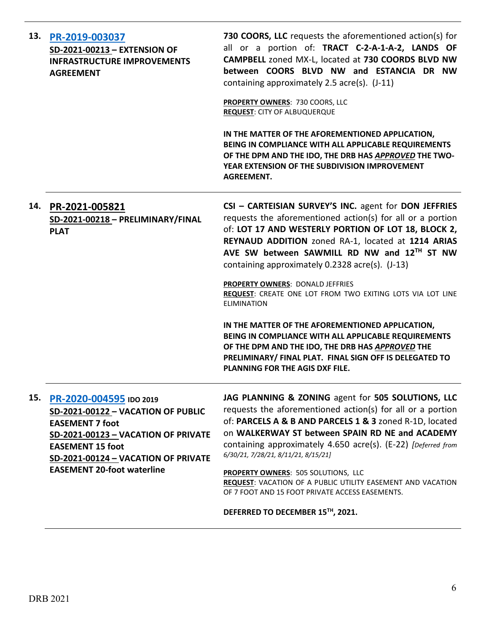| 13. | PR-2019-003037<br>SD-2021-00213 - EXTENSION OF<br><b>INFRASTRUCTURE IMPROVEMENTS</b><br><b>AGREEMENT</b>                                                                                                | 730 COORS, LLC requests the aforementioned action(s) for<br>all or a portion of: TRACT C-2-A-1-A-2, LANDS OF<br>CAMPBELL zoned MX-L, located at 730 COORDS BLVD NW<br>between COORS BLVD NW and ESTANCIA DR NW<br>containing approximately 2.5 acre(s). (J-11)                                                                         |
|-----|---------------------------------------------------------------------------------------------------------------------------------------------------------------------------------------------------------|----------------------------------------------------------------------------------------------------------------------------------------------------------------------------------------------------------------------------------------------------------------------------------------------------------------------------------------|
|     |                                                                                                                                                                                                         | PROPERTY OWNERS: 730 COORS, LLC<br><b>REQUEST: CITY OF ALBUQUERQUE</b>                                                                                                                                                                                                                                                                 |
|     |                                                                                                                                                                                                         | IN THE MATTER OF THE AFOREMENTIONED APPLICATION,<br>BEING IN COMPLIANCE WITH ALL APPLICABLE REQUIREMENTS<br>OF THE DPM AND THE IDO, THE DRB HAS APPROVED THE TWO-<br>YEAR EXTENSION OF THE SUBDIVISION IMPROVEMENT<br><b>AGREEMENT.</b>                                                                                                |
| 14. | PR-2021-005821<br>SD-2021-00218 - PRELIMINARY/FINAL<br><b>PLAT</b>                                                                                                                                      | CSI - CARTEISIAN SURVEY'S INC. agent for DON JEFFRIES<br>requests the aforementioned action(s) for all or a portion<br>of: LOT 17 AND WESTERLY PORTION OF LOT 18, BLOCK 2,<br>REYNAUD ADDITION zoned RA-1, located at 1214 ARIAS<br>AVE SW between SAWMILL RD NW and 12TH ST NW<br>containing approximately 0.2328 acre(s). (J-13)     |
|     |                                                                                                                                                                                                         | PROPERTY OWNERS: DONALD JEFFRIES<br>REQUEST: CREATE ONE LOT FROM TWO EXITING LOTS VIA LOT LINE<br><b>ELIMINATION</b>                                                                                                                                                                                                                   |
|     |                                                                                                                                                                                                         | IN THE MATTER OF THE AFOREMENTIONED APPLICATION,<br>BEING IN COMPLIANCE WITH ALL APPLICABLE REQUIREMENTS<br>OF THE DPM AND THE IDO, THE DRB HAS APPROVED THE<br>PRELIMINARY/ FINAL PLAT. FINAL SIGN OFF IS DELEGATED TO<br><b>PLANNING FOR THE AGIS DXF FILE.</b>                                                                      |
| 15. | PR-2020-004595 IDO 2019<br>SD-2021-00122 - VACATION OF PUBLIC<br><b>EASEMENT 7 foot</b><br><b>SD-2021-00123 - VACATION OF PRIVATE</b><br><b>EASEMENT 15 foot</b><br>SD-2021-00124 - VACATION OF PRIVATE | JAG PLANNING & ZONING agent for 505 SOLUTIONS, LLC<br>requests the aforementioned action(s) for all or a portion<br>of: PARCELS A & B AND PARCELS 1 & 3 zoned R-1D, located<br>on WALKERWAY ST between SPAIN RD NE and ACADEMY<br>containing approximately 4.650 acre(s). (E-22) [Deferred from<br>6/30/21, 7/28/21, 8/11/21, 8/15/21] |
|     | <b>EASEMENT 20-foot waterline</b>                                                                                                                                                                       | PROPERTY OWNERS: 505 SOLUTIONS, LLC<br>REQUEST: VACATION OF A PUBLIC UTILITY EASEMENT AND VACATION<br>OF 7 FOOT AND 15 FOOT PRIVATE ACCESS EASEMENTS.                                                                                                                                                                                  |
|     |                                                                                                                                                                                                         | DEFERRED TO DECEMBER 15TH, 2021.                                                                                                                                                                                                                                                                                                       |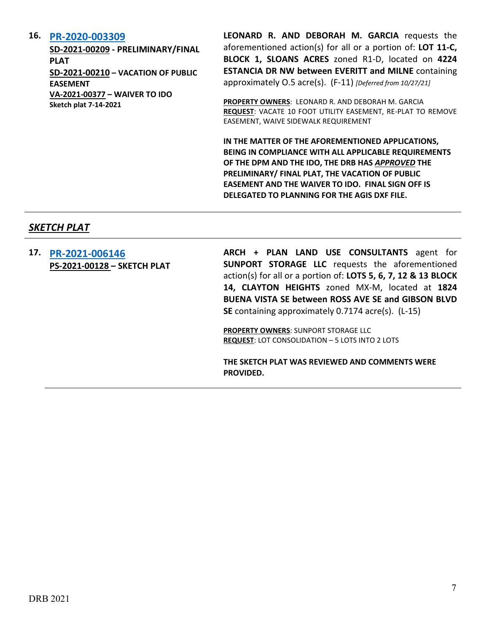## **16. [PR-2020-003309](http://data.cabq.gov/government/planning/DRB/PR-2020-003309/DRB%20Submittals/)**

**SD-2021-00209 - PRELIMINARY/FINAL PLAT SD-2021-00210 – VACATION OF PUBLIC EASEMENT VA-2021-00377 – WAIVER TO IDO Sketch plat 7-14-2021**

**LEONARD R. AND DEBORAH M. GARCIA** requests the aforementioned action(s) for all or a portion of: **LOT 11-C, BLOCK 1, SLOANS ACRES** zoned R1-D, located on **4224 ESTANCIA DR NW between EVERITT and MILNE** containing approximately O.5 acre(s). (F-11) *[Deferred from 10/27/21]*

**PROPERTY OWNERS**: LEONARD R. AND DEBORAH M. GARCIA **REQUEST**: VACATE 10 FOOT UTILITY EASEMENT, RE-PLAT TO REMOVE EASEMENT, WAIVE SIDEWALK REQUIREMENT

**IN THE MATTER OF THE AFOREMENTIONED APPLICATIONS, BEING IN COMPLIANCE WITH ALL APPLICABLE REQUIREMENTS OF THE DPM AND THE IDO, THE DRB HAS** *APPROVED* **THE PRELIMINARY/ FINAL PLAT, THE VACATION OF PUBLIC EASEMENT AND THE WAIVER TO IDO. FINAL SIGN OFF IS DELEGATED TO PLANNING FOR THE AGIS DXF FILE.**

## *SKETCH PLAT*

| 17. | PR-2021-006146<br>PS-2021-00128 - SKETCH PLAT | ARCH + PLAN LAND USE CONSULTANTS agent for<br>SUNPORT STORAGE LLC requests the aforementioned<br>action(s) for all or a portion of: LOTS 5, 6, 7, 12 & 13 BLOCK<br>14, CLAYTON HEIGHTS zoned MX-M, located at 1824<br><b>BUENA VISTA SE between ROSS AVE SE and GIBSON BLVD</b><br><b>SE</b> containing approximately 0.7174 acre(s). (L-15) |
|-----|-----------------------------------------------|----------------------------------------------------------------------------------------------------------------------------------------------------------------------------------------------------------------------------------------------------------------------------------------------------------------------------------------------|
|     |                                               | <b>PROPERTY OWNERS: SUNPORT STORAGE LLC</b><br><b>REQUEST:</b> LOT CONSOLIDATION - 5 LOTS INTO 2 LOTS                                                                                                                                                                                                                                        |
|     |                                               | THE SKETCH PLAT WAS REVIEWED AND COMMENTS WERE<br>PROVIDED.                                                                                                                                                                                                                                                                                  |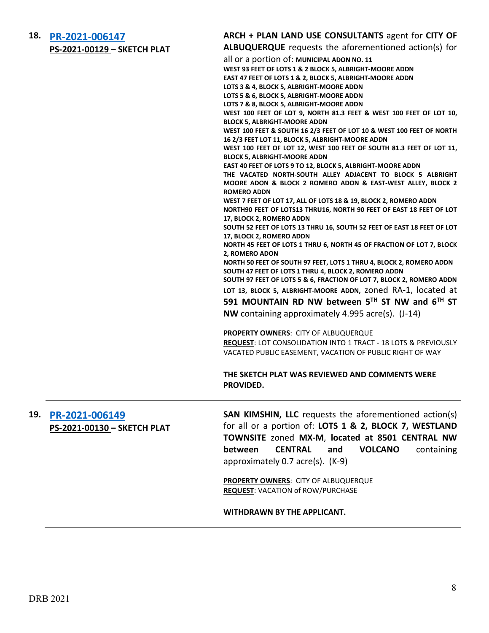| 18. PR-2021-006147                 |  |
|------------------------------------|--|
| <b>PS-2021-00129 - SKETCH PLAT</b> |  |

## **ARCH + PLAN LAND USE CONSULTANTS** agent for **CITY OF**

**ALBUQUERQUE** requests the aforementioned action(s) for

| PS-ZUZI-UUIZY – SKEI CH PLAI | <b>ALDOQUERQUE requests the article incredited action(s) for</b>                                                                                                                             |  |
|------------------------------|----------------------------------------------------------------------------------------------------------------------------------------------------------------------------------------------|--|
|                              | all or a portion of: MUNICIPAL ADON NO. 11                                                                                                                                                   |  |
|                              | WEST 93 FEET OF LOTS 1 & 2 BLOCK 5, ALBRIGHT-MOORE ADDN                                                                                                                                      |  |
|                              | EAST 47 FEET OF LOTS 1 & 2, BLOCK 5, ALBRIGHT-MOORE ADDN                                                                                                                                     |  |
|                              |                                                                                                                                                                                              |  |
|                              | LOTS 3 & 4, BLOCK 5, ALBRIGHT-MOORE ADDN                                                                                                                                                     |  |
|                              | LOTS 5 & 6, BLOCK 5, ALBRIGHT-MOORE ADDN                                                                                                                                                     |  |
|                              | LOTS 7 & 8, BLOCK 5, ALBRIGHT-MOORE ADDN                                                                                                                                                     |  |
|                              | WEST 100 FEET OF LOT 9, NORTH 81.3 FEET & WEST 100 FEET OF LOT 10,                                                                                                                           |  |
|                              | <b>BLOCK 5, ALBRIGHT-MOORE ADDN</b>                                                                                                                                                          |  |
|                              | WEST 100 FEET & SOUTH 16 2/3 FEET OF LOT 10 & WEST 100 FEET OF NORTH<br>16 2/3 FEET LOT 11, BLOCK 5, ALBRIGHT-MOORE ADDN                                                                     |  |
|                              | WEST 100 FEET OF LOT 12, WEST 100 FEET OF SOUTH 81.3 FEET OF LOT 11,<br><b>BLOCK 5, ALBRIGHT-MOORE ADDN</b>                                                                                  |  |
|                              | EAST 40 FEET OF LOTS 9 TO 12, BLOCK 5, ALBRIGHT-MOORE ADDN                                                                                                                                   |  |
|                              | THE VACATED NORTH-SOUTH ALLEY ADJACENT TO BLOCK 5 ALBRIGHT                                                                                                                                   |  |
|                              | MOORE ADON & BLOCK 2 ROMERO ADON & EAST-WEST ALLEY, BLOCK 2<br><b>ROMERO ADDN</b>                                                                                                            |  |
|                              | WEST 7 FEET OF LOT 17, ALL OF LOTS 18 & 19, BLOCK 2, ROMERO ADDN                                                                                                                             |  |
|                              | NORTH90 FEET OF LOTS13 THRU16, NORTH 90 FEET OF EAST 18 FEET OF LOT                                                                                                                          |  |
|                              |                                                                                                                                                                                              |  |
|                              | 17, BLOCK 2, ROMERO ADDN                                                                                                                                                                     |  |
|                              | SOUTH 52 FEET OF LOTS 13 THRU 16, SOUTH 52 FEET OF EAST 18 FEET OF LOT                                                                                                                       |  |
|                              | 17, BLOCK 2, ROMERO ADDN                                                                                                                                                                     |  |
|                              | NORTH 45 FEET OF LOTS 1 THRU 6, NORTH 45 OF FRACTION OF LOT 7, BLOCK                                                                                                                         |  |
|                              | 2, ROMERO ADON                                                                                                                                                                               |  |
|                              | NORTH 50 FEET OF SOUTH 97 FEET, LOTS 1 THRU 4, BLOCK 2, ROMERO ADDN                                                                                                                          |  |
|                              | SOUTH 47 FEET OF LOTS 1 THRU 4, BLOCK 2, ROMERO ADDN<br>SOUTH 97 FEET OF LOTS 5 & 6, FRACTION OF LOT 7, BLOCK 2, ROMERO ADDN<br>LOT 13, BLOCK 5, ALBRIGHT-MOORE ADDN, ZONED RA-1, located at |  |
|                              |                                                                                                                                                                                              |  |
|                              |                                                                                                                                                                                              |  |
|                              | 591 MOUNTAIN RD NW between 5TH ST NW and 6TH ST                                                                                                                                              |  |
|                              |                                                                                                                                                                                              |  |
|                              | NW containing approximately 4.995 acre(s). (J-14)                                                                                                                                            |  |
|                              | <b>PROPERTY OWNERS: CITY OF ALBUQUERQUE</b>                                                                                                                                                  |  |
|                              | <b>REQUEST: LOT CONSOLIDATION INTO 1 TRACT - 18 LOTS &amp; PREVIOUSLY</b>                                                                                                                    |  |
|                              | VACATED PUBLIC EASEMENT, VACATION OF PUBLIC RIGHT OF WAY                                                                                                                                     |  |
|                              | THE SKETCH PLAT WAS REVIEWED AND COMMENTS WERE<br>PROVIDED.                                                                                                                                  |  |
| PR-2021-006149               | <b>SAN KIMSHIN, LLC</b> requests the aforementioned action(s)                                                                                                                                |  |
| PS-2021-00130 - SKETCH PLAT  | for all or a portion of: LOTS 1 & 2, BLOCK 7, WESTLAND                                                                                                                                       |  |
|                              | TOWNSITE zoned MX-M, located at 8501 CENTRAL NW                                                                                                                                              |  |
|                              | <b>CENTRAL</b><br>between<br>and<br><b>VOLCANO</b><br>containing                                                                                                                             |  |
|                              | approximately 0.7 acre(s). (K-9)                                                                                                                                                             |  |
|                              | PROPERTY OWNERS: CITY OF ALBUQUERQUE                                                                                                                                                         |  |
|                              | <b>REQUEST: VACATION of ROW/PURCHASE</b>                                                                                                                                                     |  |
|                              |                                                                                                                                                                                              |  |

#### **WITHDRAWN BY THE APPLICANT.**

**19. [PR-2021-006149](http://data.cabq.gov/government/planning/DRB/PR-2021-006149/DRB%20Submittals/PR-2021-005927_Nov_3_2021%20(Sketch)/Application/)**